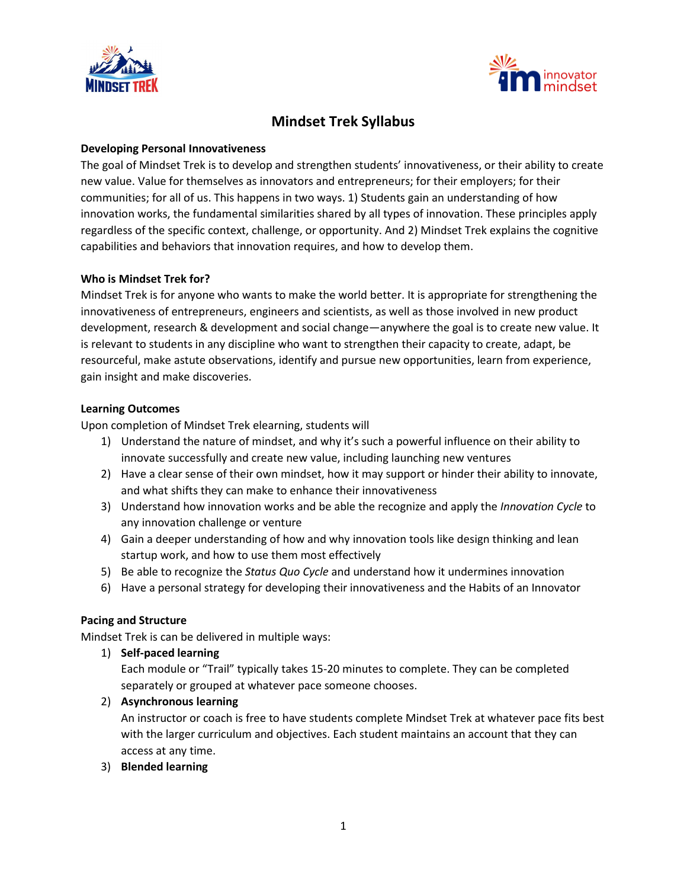



## **Mindset Trek Syllabus**

## **Developing Personal Innovativeness**

The goal of Mindset Trek is to develop and strengthen students' innovativeness, or their ability to create new value. Value for themselves as innovators and entrepreneurs; for their employers; for their communities; for all of us. This happens in two ways. 1) Students gain an understanding of how innovation works, the fundamental similarities shared by all types of innovation. These principles apply regardless of the specific context, challenge, or opportunity. And 2) Mindset Trek explains the cognitive capabilities and behaviors that innovation requires, and how to develop them.

#### **Who is Mindset Trek for?**

Mindset Trek is for anyone who wants to make the world better. It is appropriate for strengthening the innovativeness of entrepreneurs, engineers and scientists, as well as those involved in new product development, research & development and social change—anywhere the goal is to create new value. It is relevant to students in any discipline who want to strengthen their capacity to create, adapt, be resourceful, make astute observations, identify and pursue new opportunities, learn from experience, gain insight and make discoveries.

#### **Learning Outcomes**

Upon completion of Mindset Trek elearning, students will

- 1) Understand the nature of mindset, and why it's such a powerful influence on their ability to innovate successfully and create new value, including launching new ventures
- 2) Have a clear sense of their own mindset, how it may support or hinder their ability to innovate, and what shifts they can make to enhance their innovativeness
- 3) Understand how innovation works and be able the recognize and apply the *Innovation Cycle* to any innovation challenge or venture
- 4) Gain a deeper understanding of how and why innovation tools like design thinking and lean startup work, and how to use them most effectively
- 5) Be able to recognize the *Status Quo Cycle* and understand how it undermines innovation
- 6) Have a personal strategy for developing their innovativeness and the Habits of an Innovator

## **Pacing and Structure**

Mindset Trek is can be delivered in multiple ways:

1) **Self-paced learning**

Each module or "Trail" typically takes 15-20 minutes to complete. They can be completed separately or grouped at whatever pace someone chooses.

2) **Asynchronous learning**

An instructor or coach is free to have students complete Mindset Trek at whatever pace fits best with the larger curriculum and objectives. Each student maintains an account that they can access at any time.

3) **Blended learning**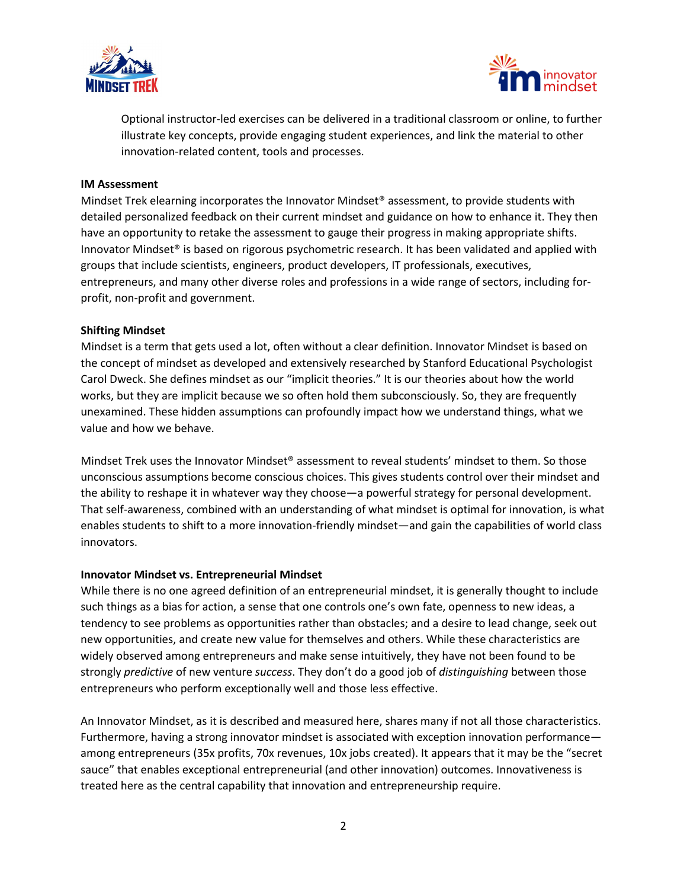



Optional instructor-led exercises can be delivered in a traditional classroom or online, to further illustrate key concepts, provide engaging student experiences, and link the material to other innovation-related content, tools and processes.

#### **IM Assessment**

Mindset Trek elearning incorporates the Innovator Mindset® assessment, to provide students with detailed personalized feedback on their current mindset and guidance on how to enhance it. They then have an opportunity to retake the assessment to gauge their progress in making appropriate shifts. Innovator Mindset® is based on rigorous psychometric research. It has been validated and applied with groups that include scientists, engineers, product developers, IT professionals, executives, entrepreneurs, and many other diverse roles and professions in a wide range of sectors, including forprofit, non-profit and government.

#### **Shifting Mindset**

Mindset is a term that gets used a lot, often without a clear definition. Innovator Mindset is based on the concept of mindset as developed and extensively researched by Stanford Educational Psychologist Carol Dweck. She defines mindset as our "implicit theories." It is our theories about how the world works, but they are implicit because we so often hold them subconsciously. So, they are frequently unexamined. These hidden assumptions can profoundly impact how we understand things, what we value and how we behave.

Mindset Trek uses the Innovator Mindset® assessment to reveal students' mindset to them. So those unconscious assumptions become conscious choices. This gives students control over their mindset and the ability to reshape it in whatever way they choose—a powerful strategy for personal development. That self-awareness, combined with an understanding of what mindset is optimal for innovation, is what enables students to shift to a more innovation-friendly mindset—and gain the capabilities of world class innovators.

#### **Innovator Mindset vs. Entrepreneurial Mindset**

While there is no one agreed definition of an entrepreneurial mindset, it is generally thought to include such things as a bias for action, a sense that one controls one's own fate, openness to new ideas, a tendency to see problems as opportunities rather than obstacles; and a desire to lead change, seek out new opportunities, and create new value for themselves and others. While these characteristics are widely observed among entrepreneurs and make sense intuitively, they have not been found to be strongly *predictive* of new venture *success*. They don't do a good job of *distinguishing* between those entrepreneurs who perform exceptionally well and those less effective.

An Innovator Mindset, as it is described and measured here, shares many if not all those characteristics. Furthermore, having a strong innovator mindset is associated with exception innovation performance among entrepreneurs (35x profits, 70x revenues, 10x jobs created). It appears that it may be the "secret sauce" that enables exceptional entrepreneurial (and other innovation) outcomes. Innovativeness is treated here as the central capability that innovation and entrepreneurship require.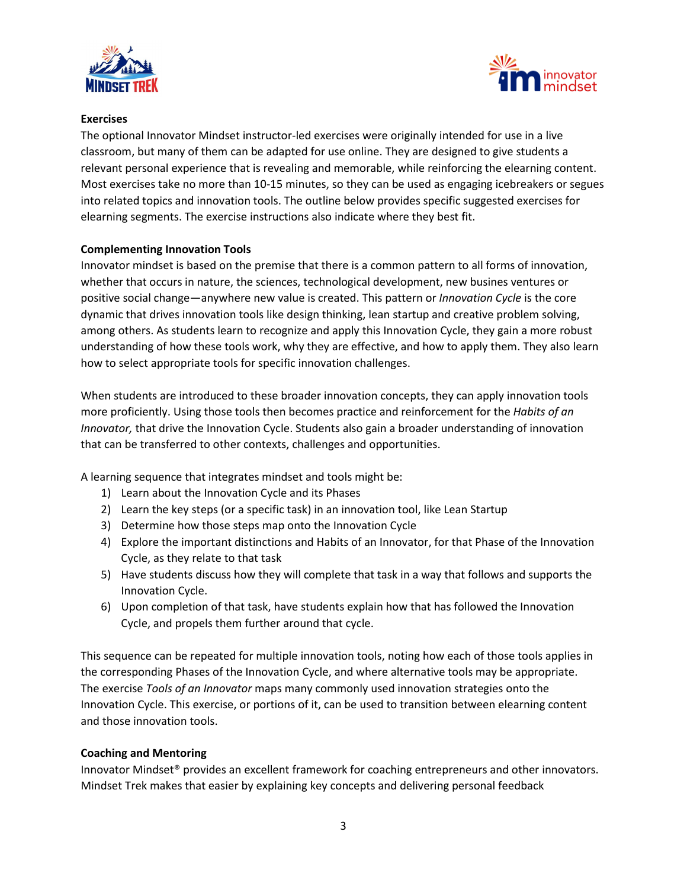



## **Exercises**

The optional Innovator Mindset instructor-led exercises were originally intended for use in a live classroom, but many of them can be adapted for use online. They are designed to give students a relevant personal experience that is revealing and memorable, while reinforcing the elearning content. Most exercises take no more than 10-15 minutes, so they can be used as engaging icebreakers or segues into related topics and innovation tools. The outline below provides specific suggested exercises for elearning segments. The exercise instructions also indicate where they best fit.

## **Complementing Innovation Tools**

Innovator mindset is based on the premise that there is a common pattern to all forms of innovation, whether that occurs in nature, the sciences, technological development, new busines ventures or positive social change—anywhere new value is created. This pattern or *Innovation Cycle* is the core dynamic that drives innovation tools like design thinking, lean startup and creative problem solving, among others. As students learn to recognize and apply this Innovation Cycle, they gain a more robust understanding of how these tools work, why they are effective, and how to apply them. They also learn how to select appropriate tools for specific innovation challenges.

When students are introduced to these broader innovation concepts, they can apply innovation tools more proficiently. Using those tools then becomes practice and reinforcement for the *Habits of an Innovator,* that drive the Innovation Cycle. Students also gain a broader understanding of innovation that can be transferred to other contexts, challenges and opportunities.

A learning sequence that integrates mindset and tools might be:

- 1) Learn about the Innovation Cycle and its Phases
- 2) Learn the key steps (or a specific task) in an innovation tool, like Lean Startup
- 3) Determine how those steps map onto the Innovation Cycle
- 4) Explore the important distinctions and Habits of an Innovator, for that Phase of the Innovation Cycle, as they relate to that task
- 5) Have students discuss how they will complete that task in a way that follows and supports the Innovation Cycle.
- 6) Upon completion of that task, have students explain how that has followed the Innovation Cycle, and propels them further around that cycle.

This sequence can be repeated for multiple innovation tools, noting how each of those tools applies in the corresponding Phases of the Innovation Cycle, and where alternative tools may be appropriate. The exercise *Tools of an Innovator* maps many commonly used innovation strategies onto the Innovation Cycle. This exercise, or portions of it, can be used to transition between elearning content and those innovation tools.

## **Coaching and Mentoring**

Innovator Mindset® provides an excellent framework for coaching entrepreneurs and other innovators. Mindset Trek makes that easier by explaining key concepts and delivering personal feedback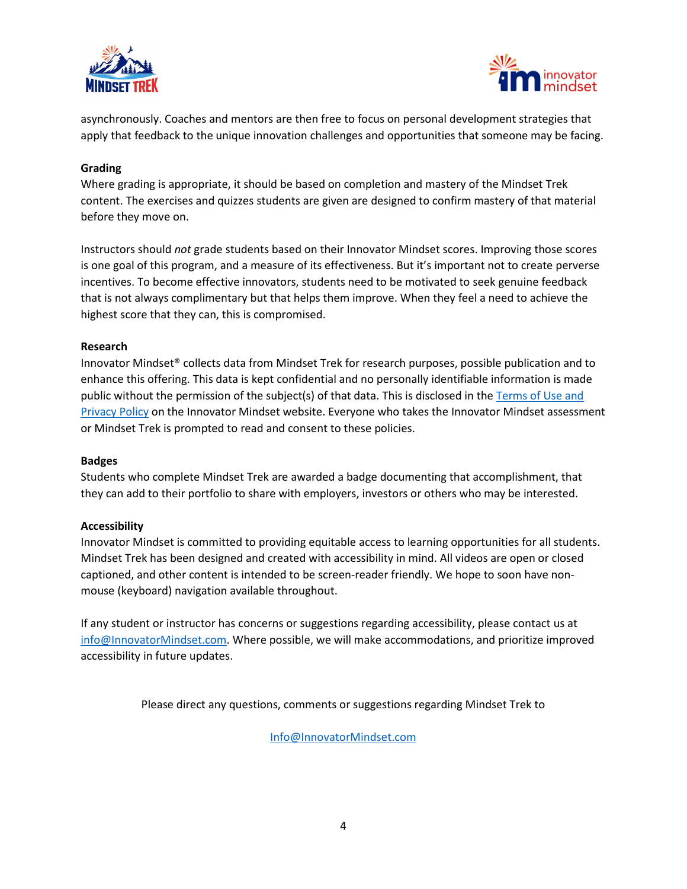



asynchronously. Coaches and mentors are then free to focus on personal development strategies that apply that feedback to the unique innovation challenges and opportunities that someone may be facing.

### **Grading**

Where grading is appropriate, it should be based on completion and mastery of the Mindset Trek content. The exercises and quizzes students are given are designed to confirm mastery of that material before they move on.

Instructors should *not* grade students based on their Innovator Mindset scores. Improving those scores is one goal of this program, and a measure of its effectiveness. But it's important not to create perverse incentives. To become effective innovators, students need to be motivated to seek genuine feedback that is not always complimentary but that helps them improve. When they feel a need to achieve the highest score that they can, this is compromised.

#### **Research**

Innovator Mindset® collects data from Mindset Trek for research purposes, possible publication and to enhance this offering. This data is kept confidential and no personally identifiable information is made public without the permission of the subject(s) of that data. This is disclosed in the [Terms of Use and](https://innovatormindset.com/terms-and-conditions/)  [Privacy Policy](https://innovatormindset.com/terms-and-conditions/) on the Innovator Mindset website. Everyone who takes the Innovator Mindset assessment or Mindset Trek is prompted to read and consent to these policies.

#### **Badges**

Students who complete Mindset Trek are awarded a badge documenting that accomplishment, that they can add to their portfolio to share with employers, investors or others who may be interested.

## **Accessibility**

Innovator Mindset is committed to providing equitable access to learning opportunities for all students. Mindset Trek has been designed and created with accessibility in mind. All videos are open or closed captioned, and other content is intended to be screen-reader friendly. We hope to soon have nonmouse (keyboard) navigation available throughout.

If any student or instructor has concerns or suggestions regarding accessibility, please contact us at [info@InnovatorMindset.com.](mailto:info@InnovatorMindset.com) Where possible, we will make accommodations, and prioritize improved accessibility in future updates.

Please direct any questions, comments or suggestions regarding Mindset Trek to

[Info@InnovatorMindset.com](mailto:Info@InnovatorMindset.com)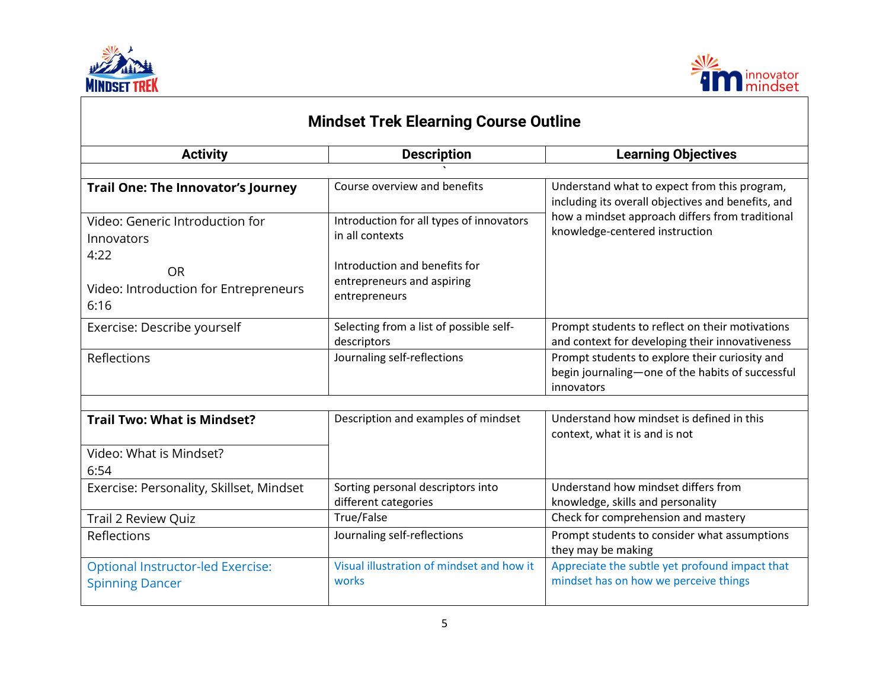



| <b>Mindset Trek Elearning Course Outline</b>                       |                                                             |                                                                                                                  |
|--------------------------------------------------------------------|-------------------------------------------------------------|------------------------------------------------------------------------------------------------------------------|
| <b>Activity</b>                                                    | <b>Description</b>                                          | <b>Learning Objectives</b>                                                                                       |
|                                                                    |                                                             |                                                                                                                  |
| <b>Trail One: The Innovator's Journey</b>                          | Course overview and benefits                                | Understand what to expect from this program,<br>including its overall objectives and benefits, and               |
| Video: Generic Introduction for<br>Innovators<br>4:22              | Introduction for all types of innovators<br>in all contexts | how a mindset approach differs from traditional<br>knowledge-centered instruction                                |
| <b>OR</b>                                                          | Introduction and benefits for                               |                                                                                                                  |
| Video: Introduction for Entrepreneurs<br>6:16                      | entrepreneurs and aspiring<br>entrepreneurs                 |                                                                                                                  |
| Exercise: Describe yourself                                        | Selecting from a list of possible self-<br>descriptors      | Prompt students to reflect on their motivations<br>and context for developing their innovativeness               |
| Reflections                                                        | Journaling self-reflections                                 | Prompt students to explore their curiosity and<br>begin journaling-one of the habits of successful<br>innovators |
|                                                                    |                                                             |                                                                                                                  |
| <b>Trail Two: What is Mindset?</b>                                 | Description and examples of mindset                         | Understand how mindset is defined in this<br>context, what it is and is not                                      |
| Video: What is Mindset?<br>6:54                                    |                                                             |                                                                                                                  |
| Exercise: Personality, Skillset, Mindset                           | Sorting personal descriptors into<br>different categories   | Understand how mindset differs from<br>knowledge, skills and personality                                         |
| Trail 2 Review Quiz                                                | True/False                                                  | Check for comprehension and mastery                                                                              |
| Reflections                                                        | Journaling self-reflections                                 | Prompt students to consider what assumptions<br>they may be making                                               |
| <b>Optional Instructor-led Exercise:</b><br><b>Spinning Dancer</b> | Visual illustration of mindset and how it<br>works          | Appreciate the subtle yet profound impact that<br>mindset has on how we perceive things                          |

# 5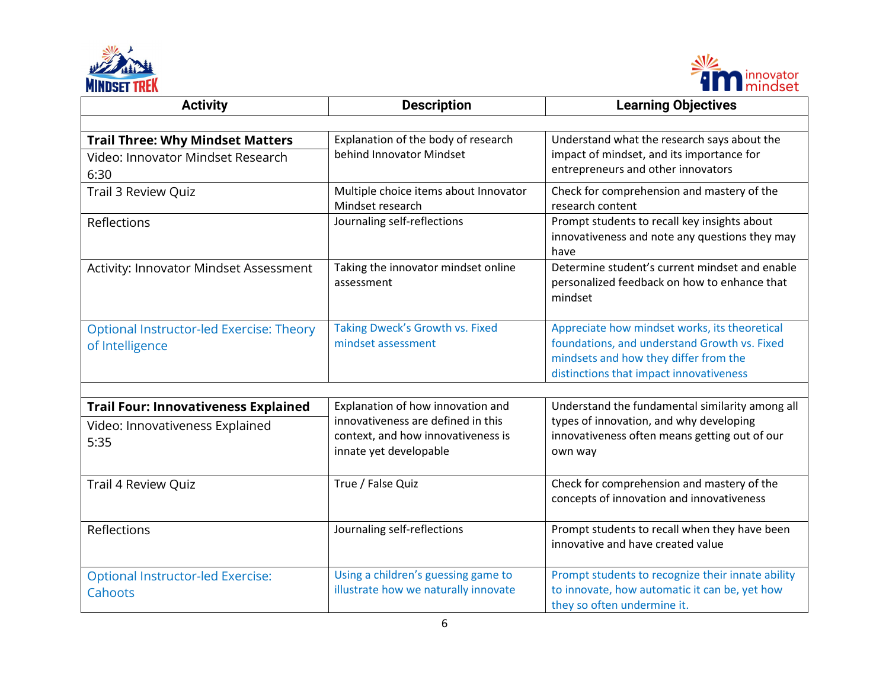



| <b>Activity</b>                                                                        | <b>Description</b>                                                                                                                      | <b>Learning Objectives</b>                                                                                                                                                        |
|----------------------------------------------------------------------------------------|-----------------------------------------------------------------------------------------------------------------------------------------|-----------------------------------------------------------------------------------------------------------------------------------------------------------------------------------|
|                                                                                        |                                                                                                                                         |                                                                                                                                                                                   |
| <b>Trail Three: Why Mindset Matters</b><br>Video: Innovator Mindset Research<br>6:30   | Explanation of the body of research<br>behind Innovator Mindset                                                                         | Understand what the research says about the<br>impact of mindset, and its importance for<br>entrepreneurs and other innovators                                                    |
| <b>Trail 3 Review Quiz</b>                                                             | Multiple choice items about Innovator<br>Mindset research                                                                               | Check for comprehension and mastery of the<br>research content                                                                                                                    |
| Reflections                                                                            | Journaling self-reflections                                                                                                             | Prompt students to recall key insights about<br>innovativeness and note any questions they may<br>have                                                                            |
| Activity: Innovator Mindset Assessment                                                 | Taking the innovator mindset online<br>assessment                                                                                       | Determine student's current mindset and enable<br>personalized feedback on how to enhance that<br>mindset                                                                         |
| Optional Instructor-led Exercise: Theory<br>of Intelligence                            | Taking Dweck's Growth vs. Fixed<br>mindset assessment                                                                                   | Appreciate how mindset works, its theoretical<br>foundations, and understand Growth vs. Fixed<br>mindsets and how they differ from the<br>distinctions that impact innovativeness |
|                                                                                        |                                                                                                                                         |                                                                                                                                                                                   |
| <b>Trail Four: Innovativeness Explained</b><br>Video: Innovativeness Explained<br>5:35 | Explanation of how innovation and<br>innovativeness are defined in this<br>context, and how innovativeness is<br>innate yet developable | Understand the fundamental similarity among all<br>types of innovation, and why developing<br>innovativeness often means getting out of our<br>own way                            |
| Trail 4 Review Quiz                                                                    | True / False Quiz                                                                                                                       | Check for comprehension and mastery of the<br>concepts of innovation and innovativeness                                                                                           |
| Reflections                                                                            | Journaling self-reflections                                                                                                             | Prompt students to recall when they have been<br>innovative and have created value                                                                                                |
| <b>Optional Instructor-led Exercise:</b><br>Cahoots                                    | Using a children's guessing game to<br>illustrate how we naturally innovate                                                             | Prompt students to recognize their innate ability<br>to innovate, how automatic it can be, yet how<br>they so often undermine it.                                                 |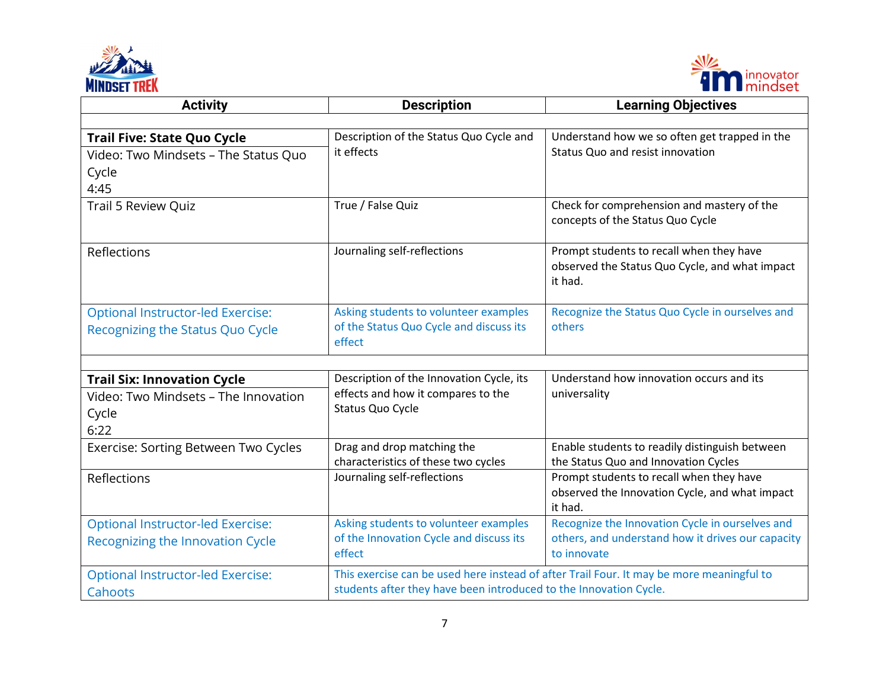



| <b>Activity</b>                                                                             | <b>Description</b>                                                                                 | <b>Learning Objectives</b>                                                                                          |
|---------------------------------------------------------------------------------------------|----------------------------------------------------------------------------------------------------|---------------------------------------------------------------------------------------------------------------------|
|                                                                                             |                                                                                                    |                                                                                                                     |
| <b>Trail Five: State Quo Cycle</b><br>Video: Two Mindsets - The Status Quo<br>Cycle<br>4:45 | Description of the Status Quo Cycle and<br>it effects                                              | Understand how we so often get trapped in the<br>Status Quo and resist innovation                                   |
| <b>Trail 5 Review Quiz</b>                                                                  | True / False Quiz                                                                                  | Check for comprehension and mastery of the<br>concepts of the Status Quo Cycle                                      |
| Reflections                                                                                 | Journaling self-reflections                                                                        | Prompt students to recall when they have<br>observed the Status Quo Cycle, and what impact<br>it had.               |
| <b>Optional Instructor-led Exercise:</b><br>Recognizing the Status Quo Cycle                | Asking students to volunteer examples<br>of the Status Quo Cycle and discuss its<br>effect         | Recognize the Status Quo Cycle in ourselves and<br>others                                                           |
|                                                                                             |                                                                                                    |                                                                                                                     |
| <b>Trail Six: Innovation Cycle</b><br>Video: Two Mindsets - The Innovation<br>Cycle<br>6:22 | Description of the Innovation Cycle, its<br>effects and how it compares to the<br>Status Quo Cycle | Understand how innovation occurs and its<br>universality                                                            |
| Exercise: Sorting Between Two Cycles                                                        | Drag and drop matching the<br>characteristics of these two cycles                                  | Enable students to readily distinguish between<br>the Status Quo and Innovation Cycles                              |
| Reflections                                                                                 | Journaling self-reflections                                                                        | Prompt students to recall when they have<br>observed the Innovation Cycle, and what impact<br>it had.               |
| <b>Optional Instructor-led Exercise:</b><br>Recognizing the Innovation Cycle                | Asking students to volunteer examples<br>of the Innovation Cycle and discuss its<br>effect         | Recognize the Innovation Cycle in ourselves and<br>others, and understand how it drives our capacity<br>to innovate |
| <b>Optional Instructor-led Exercise:</b><br>Cahoots                                         | students after they have been introduced to the Innovation Cycle.                                  | This exercise can be used here instead of after Trail Four. It may be more meaningful to                            |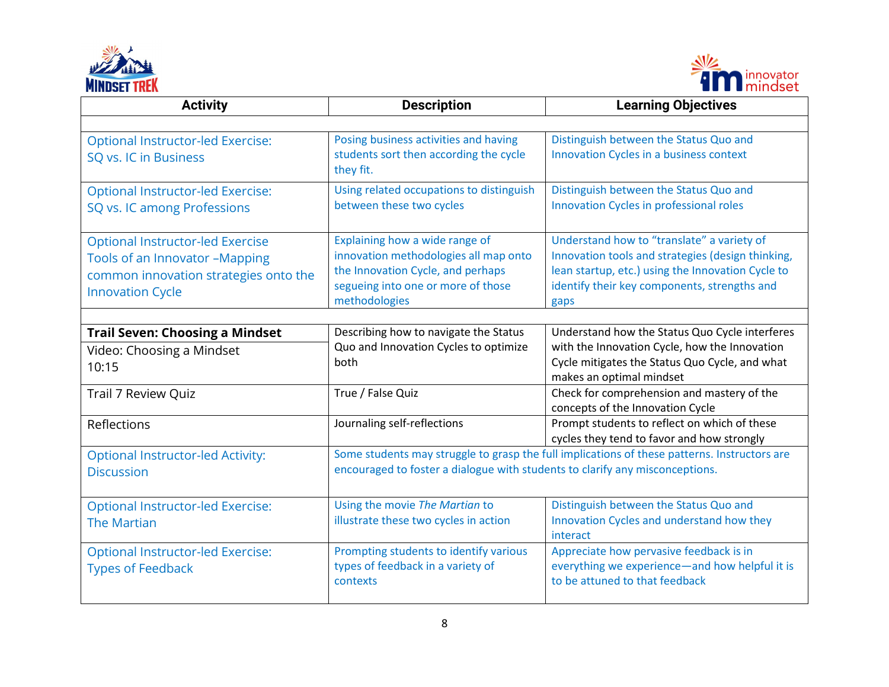



| <b>Activity</b>                                                                                                                               | <b>Description</b>                                                                                                                                                  | <b>Learning Objectives</b>                                                                                                                                                                                   |
|-----------------------------------------------------------------------------------------------------------------------------------------------|---------------------------------------------------------------------------------------------------------------------------------------------------------------------|--------------------------------------------------------------------------------------------------------------------------------------------------------------------------------------------------------------|
|                                                                                                                                               |                                                                                                                                                                     |                                                                                                                                                                                                              |
| <b>Optional Instructor-led Exercise:</b><br>SQ vs. IC in Business                                                                             | Posing business activities and having<br>students sort then according the cycle<br>they fit.                                                                        | Distinguish between the Status Quo and<br>Innovation Cycles in a business context                                                                                                                            |
| <b>Optional Instructor-led Exercise:</b><br>SQ vs. IC among Professions                                                                       | Using related occupations to distinguish<br>between these two cycles                                                                                                | Distinguish between the Status Quo and<br>Innovation Cycles in professional roles                                                                                                                            |
| <b>Optional Instructor-led Exercise</b><br>Tools of an Innovator -Mapping<br>common innovation strategies onto the<br><b>Innovation Cycle</b> | Explaining how a wide range of<br>innovation methodologies all map onto<br>the Innovation Cycle, and perhaps<br>segueing into one or more of those<br>methodologies | Understand how to "translate" a variety of<br>Innovation tools and strategies (design thinking,<br>lean startup, etc.) using the Innovation Cycle to<br>identify their key components, strengths and<br>gaps |
| <b>Trail Seven: Choosing a Mindset</b>                                                                                                        | Describing how to navigate the Status                                                                                                                               | Understand how the Status Quo Cycle interferes                                                                                                                                                               |
| Video: Choosing a Mindset<br>10:15                                                                                                            | Quo and Innovation Cycles to optimize<br>both                                                                                                                       | with the Innovation Cycle, how the Innovation<br>Cycle mitigates the Status Quo Cycle, and what<br>makes an optimal mindset                                                                                  |
| Trail 7 Review Quiz                                                                                                                           | True / False Quiz                                                                                                                                                   | Check for comprehension and mastery of the<br>concepts of the Innovation Cycle                                                                                                                               |
| Reflections                                                                                                                                   | Journaling self-reflections                                                                                                                                         | Prompt students to reflect on which of these<br>cycles they tend to favor and how strongly                                                                                                                   |
| <b>Optional Instructor-led Activity:</b><br><b>Discussion</b>                                                                                 | encouraged to foster a dialogue with students to clarify any misconceptions.                                                                                        | Some students may struggle to grasp the full implications of these patterns. Instructors are                                                                                                                 |
| <b>Optional Instructor-led Exercise:</b><br><b>The Martian</b>                                                                                | Using the movie The Martian to<br>illustrate these two cycles in action                                                                                             | Distinguish between the Status Quo and<br>Innovation Cycles and understand how they<br>interact                                                                                                              |
| <b>Optional Instructor-led Exercise:</b><br><b>Types of Feedback</b>                                                                          | Prompting students to identify various<br>types of feedback in a variety of<br>contexts                                                                             | Appreciate how pervasive feedback is in<br>everything we experience-and how helpful it is<br>to be attuned to that feedback                                                                                  |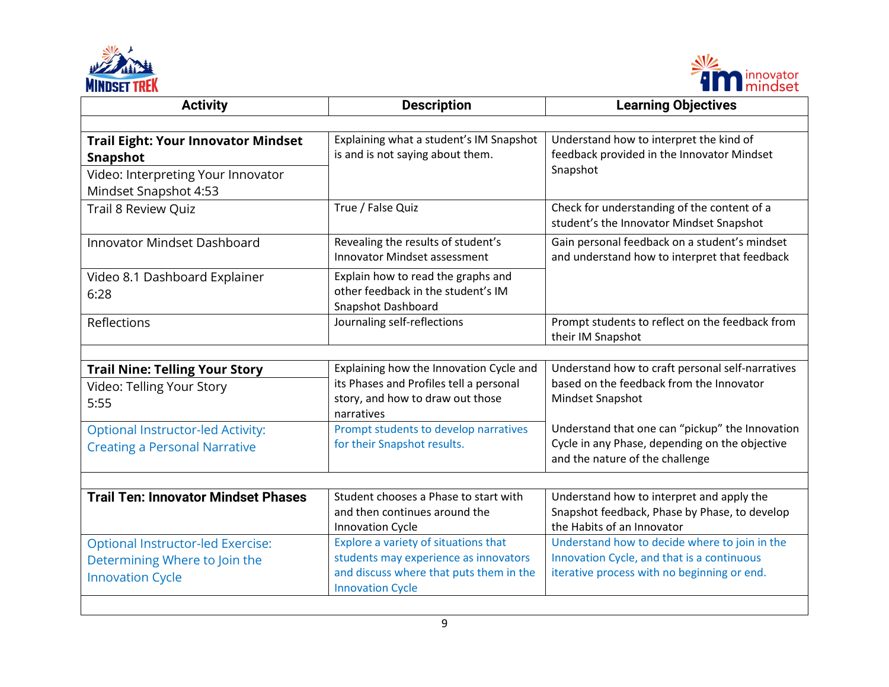



| <b>Activity</b>                                                                                                              | <b>Description</b>                                                                                                                                  | <b>Learning Objectives</b>                                                                                                                 |
|------------------------------------------------------------------------------------------------------------------------------|-----------------------------------------------------------------------------------------------------------------------------------------------------|--------------------------------------------------------------------------------------------------------------------------------------------|
|                                                                                                                              |                                                                                                                                                     |                                                                                                                                            |
| <b>Trail Eight: Your Innovator Mindset</b><br><b>Snapshot</b><br>Video: Interpreting Your Innovator<br>Mindset Snapshot 4:53 | Explaining what a student's IM Snapshot<br>is and is not saying about them.                                                                         | Understand how to interpret the kind of<br>feedback provided in the Innovator Mindset<br>Snapshot                                          |
| <b>Trail 8 Review Quiz</b>                                                                                                   | True / False Quiz                                                                                                                                   | Check for understanding of the content of a<br>student's the Innovator Mindset Snapshot                                                    |
| <b>Innovator Mindset Dashboard</b>                                                                                           | Revealing the results of student's<br><b>Innovator Mindset assessment</b>                                                                           | Gain personal feedback on a student's mindset<br>and understand how to interpret that feedback                                             |
| Video 8.1 Dashboard Explainer<br>6:28                                                                                        | Explain how to read the graphs and<br>other feedback in the student's IM<br>Snapshot Dashboard                                                      |                                                                                                                                            |
| Reflections                                                                                                                  | Journaling self-reflections                                                                                                                         | Prompt students to reflect on the feedback from<br>their IM Snapshot                                                                       |
|                                                                                                                              |                                                                                                                                                     |                                                                                                                                            |
| <b>Trail Nine: Telling Your Story</b><br>Video: Telling Your Story<br>5:55                                                   | Explaining how the Innovation Cycle and<br>its Phases and Profiles tell a personal<br>story, and how to draw out those<br>narratives                | Understand how to craft personal self-narratives<br>based on the feedback from the Innovator<br>Mindset Snapshot                           |
| <b>Optional Instructor-led Activity:</b><br><b>Creating a Personal Narrative</b>                                             | Prompt students to develop narratives<br>for their Snapshot results.                                                                                | Understand that one can "pickup" the Innovation<br>Cycle in any Phase, depending on the objective<br>and the nature of the challenge       |
|                                                                                                                              |                                                                                                                                                     |                                                                                                                                            |
| <b>Trail Ten: Innovator Mindset Phases</b>                                                                                   | Student chooses a Phase to start with<br>and then continues around the<br><b>Innovation Cycle</b>                                                   | Understand how to interpret and apply the<br>Snapshot feedback, Phase by Phase, to develop<br>the Habits of an Innovator                   |
| <b>Optional Instructor-led Exercise:</b><br>Determining Where to Join the<br><b>Innovation Cycle</b>                         | Explore a variety of situations that<br>students may experience as innovators<br>and discuss where that puts them in the<br><b>Innovation Cycle</b> | Understand how to decide where to join in the<br>Innovation Cycle, and that is a continuous<br>iterative process with no beginning or end. |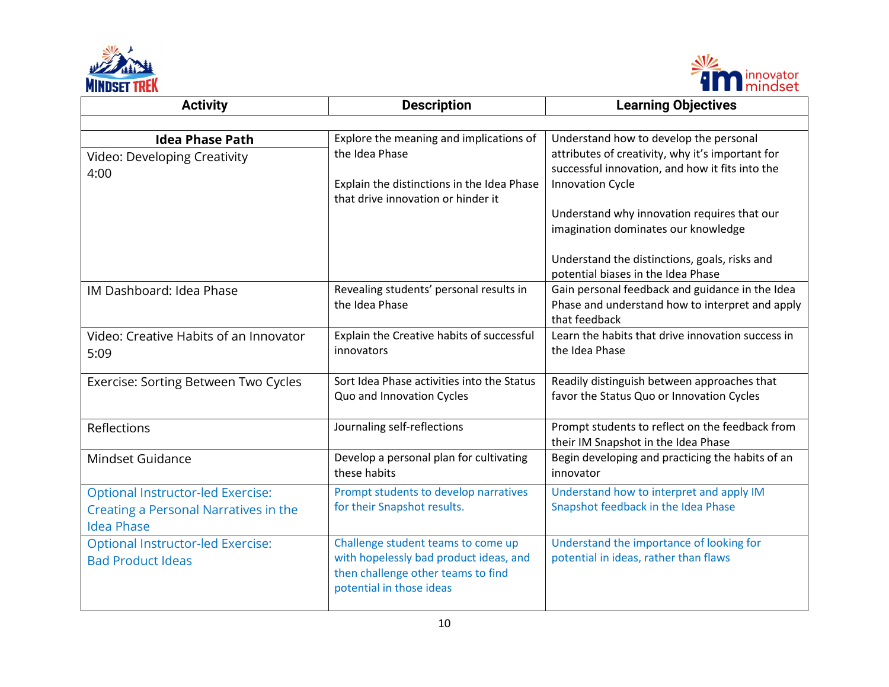



| <b>Activity</b>                                                                                        | <b>Description</b>                                                                                                                             | <b>Learning Objectives</b>                                                                                                                                                                                                                                                                                      |
|--------------------------------------------------------------------------------------------------------|------------------------------------------------------------------------------------------------------------------------------------------------|-----------------------------------------------------------------------------------------------------------------------------------------------------------------------------------------------------------------------------------------------------------------------------------------------------------------|
|                                                                                                        |                                                                                                                                                |                                                                                                                                                                                                                                                                                                                 |
| <b>Idea Phase Path</b><br>Video: Developing Creativity<br>4:00                                         | Explore the meaning and implications of<br>the Idea Phase<br>Explain the distinctions in the Idea Phase<br>that drive innovation or hinder it  | Understand how to develop the personal<br>attributes of creativity, why it's important for<br>successful innovation, and how it fits into the<br><b>Innovation Cycle</b><br>Understand why innovation requires that our<br>imagination dominates our knowledge<br>Understand the distinctions, goals, risks and |
| IM Dashboard: Idea Phase                                                                               | Revealing students' personal results in<br>the Idea Phase                                                                                      | potential biases in the Idea Phase<br>Gain personal feedback and guidance in the Idea<br>Phase and understand how to interpret and apply<br>that feedback                                                                                                                                                       |
| Video: Creative Habits of an Innovator<br>5:09                                                         | Explain the Creative habits of successful<br>innovators                                                                                        | Learn the habits that drive innovation success in<br>the Idea Phase                                                                                                                                                                                                                                             |
| Exercise: Sorting Between Two Cycles                                                                   | Sort Idea Phase activities into the Status<br>Quo and Innovation Cycles                                                                        | Readily distinguish between approaches that<br>favor the Status Quo or Innovation Cycles                                                                                                                                                                                                                        |
| Reflections                                                                                            | Journaling self-reflections                                                                                                                    | Prompt students to reflect on the feedback from<br>their IM Snapshot in the Idea Phase                                                                                                                                                                                                                          |
| Mindset Guidance                                                                                       | Develop a personal plan for cultivating<br>these habits                                                                                        | Begin developing and practicing the habits of an<br>innovator                                                                                                                                                                                                                                                   |
| <b>Optional Instructor-led Exercise:</b><br>Creating a Personal Narratives in the<br><b>Idea Phase</b> | Prompt students to develop narratives<br>for their Snapshot results.                                                                           | Understand how to interpret and apply IM<br>Snapshot feedback in the Idea Phase                                                                                                                                                                                                                                 |
| <b>Optional Instructor-led Exercise:</b><br><b>Bad Product Ideas</b>                                   | Challenge student teams to come up<br>with hopelessly bad product ideas, and<br>then challenge other teams to find<br>potential in those ideas | Understand the importance of looking for<br>potential in ideas, rather than flaws                                                                                                                                                                                                                               |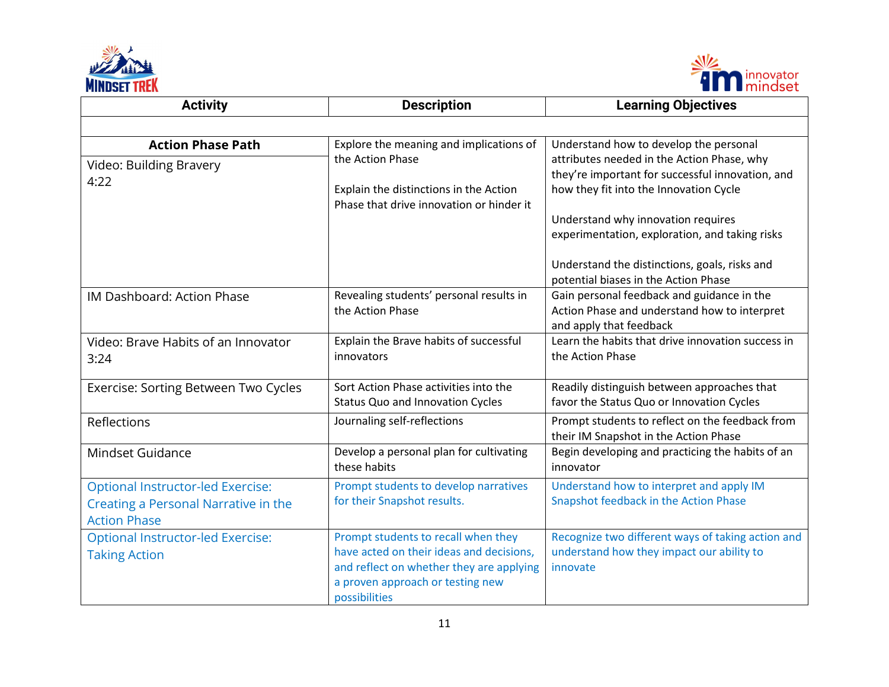



| <b>Activity</b>                                                                                         | <b>Description</b>                                                                                                                                                               | <b>Learning Objectives</b>                                                                                                                                                                                                                                                 |
|---------------------------------------------------------------------------------------------------------|----------------------------------------------------------------------------------------------------------------------------------------------------------------------------------|----------------------------------------------------------------------------------------------------------------------------------------------------------------------------------------------------------------------------------------------------------------------------|
|                                                                                                         |                                                                                                                                                                                  |                                                                                                                                                                                                                                                                            |
| <b>Action Phase Path</b><br>Video: Building Bravery<br>4:22                                             | Explore the meaning and implications of<br>the Action Phase<br>Explain the distinctions in the Action<br>Phase that drive innovation or hinder it                                | Understand how to develop the personal<br>attributes needed in the Action Phase, why<br>they're important for successful innovation, and<br>how they fit into the Innovation Cycle<br>Understand why innovation requires<br>experimentation, exploration, and taking risks |
|                                                                                                         |                                                                                                                                                                                  | Understand the distinctions, goals, risks and<br>potential biases in the Action Phase                                                                                                                                                                                      |
| IM Dashboard: Action Phase                                                                              | Revealing students' personal results in<br>the Action Phase                                                                                                                      | Gain personal feedback and guidance in the<br>Action Phase and understand how to interpret<br>and apply that feedback                                                                                                                                                      |
| Video: Brave Habits of an Innovator<br>3:24                                                             | Explain the Brave habits of successful<br>innovators                                                                                                                             | Learn the habits that drive innovation success in<br>the Action Phase                                                                                                                                                                                                      |
| Exercise: Sorting Between Two Cycles                                                                    | Sort Action Phase activities into the<br>Status Quo and Innovation Cycles                                                                                                        | Readily distinguish between approaches that<br>favor the Status Quo or Innovation Cycles                                                                                                                                                                                   |
| Reflections                                                                                             | Journaling self-reflections                                                                                                                                                      | Prompt students to reflect on the feedback from<br>their IM Snapshot in the Action Phase                                                                                                                                                                                   |
| Mindset Guidance                                                                                        | Develop a personal plan for cultivating<br>these habits                                                                                                                          | Begin developing and practicing the habits of an<br>innovator                                                                                                                                                                                                              |
| <b>Optional Instructor-led Exercise:</b><br>Creating a Personal Narrative in the<br><b>Action Phase</b> | Prompt students to develop narratives<br>for their Snapshot results.                                                                                                             | Understand how to interpret and apply IM<br>Snapshot feedback in the Action Phase                                                                                                                                                                                          |
| <b>Optional Instructor-led Exercise:</b><br><b>Taking Action</b>                                        | Prompt students to recall when they<br>have acted on their ideas and decisions,<br>and reflect on whether they are applying<br>a proven approach or testing new<br>possibilities | Recognize two different ways of taking action and<br>understand how they impact our ability to<br>innovate                                                                                                                                                                 |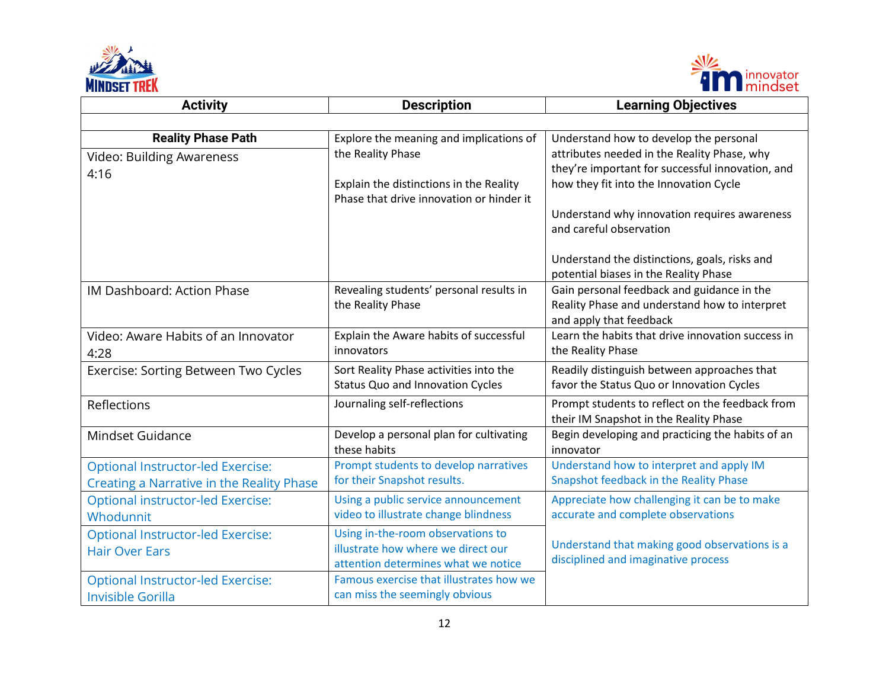



| <b>Activity</b>                           | <b>Description</b>                                                                  | <b>Learning Objectives</b>                                                                |
|-------------------------------------------|-------------------------------------------------------------------------------------|-------------------------------------------------------------------------------------------|
|                                           |                                                                                     |                                                                                           |
| <b>Reality Phase Path</b>                 | Explore the meaning and implications of                                             | Understand how to develop the personal                                                    |
| <b>Video: Building Awareness</b>          | the Reality Phase                                                                   | attributes needed in the Reality Phase, why                                               |
| 4:16                                      |                                                                                     | they're important for successful innovation, and                                          |
|                                           | Explain the distinctions in the Reality<br>Phase that drive innovation or hinder it | how they fit into the Innovation Cycle                                                    |
|                                           |                                                                                     | Understand why innovation requires awareness                                              |
|                                           |                                                                                     | and careful observation                                                                   |
|                                           |                                                                                     | Understand the distinctions, goals, risks and                                             |
|                                           |                                                                                     | potential biases in the Reality Phase                                                     |
| IM Dashboard: Action Phase                | Revealing students' personal results in                                             | Gain personal feedback and guidance in the                                                |
|                                           | the Reality Phase                                                                   | Reality Phase and understand how to interpret                                             |
| Video: Aware Habits of an Innovator       | Explain the Aware habits of successful                                              | and apply that feedback<br>Learn the habits that drive innovation success in              |
|                                           | innovators                                                                          | the Reality Phase                                                                         |
| 4:28                                      |                                                                                     |                                                                                           |
| Exercise: Sorting Between Two Cycles      | Sort Reality Phase activities into the<br><b>Status Quo and Innovation Cycles</b>   | Readily distinguish between approaches that<br>favor the Status Quo or Innovation Cycles  |
|                                           |                                                                                     |                                                                                           |
| Reflections                               | Journaling self-reflections                                                         | Prompt students to reflect on the feedback from<br>their IM Snapshot in the Reality Phase |
| Mindset Guidance                          | Develop a personal plan for cultivating<br>these habits                             | Begin developing and practicing the habits of an<br>innovator                             |
| <b>Optional Instructor-led Exercise:</b>  | Prompt students to develop narratives                                               | Understand how to interpret and apply IM                                                  |
| Creating a Narrative in the Reality Phase | for their Snapshot results.                                                         | Snapshot feedback in the Reality Phase                                                    |
| <b>Optional instructor-led Exercise:</b>  | Using a public service announcement                                                 | Appreciate how challenging it can be to make                                              |
| Whodunnit                                 | video to illustrate change blindness                                                | accurate and complete observations                                                        |
| <b>Optional Instructor-led Exercise:</b>  | Using in-the-room observations to                                                   |                                                                                           |
| <b>Hair Over Ears</b>                     | illustrate how where we direct our                                                  | Understand that making good observations is a                                             |
|                                           | attention determines what we notice                                                 | disciplined and imaginative process                                                       |
| <b>Optional Instructor-led Exercise:</b>  | Famous exercise that illustrates how we                                             |                                                                                           |
| Invisible Gorilla                         | can miss the seemingly obvious                                                      |                                                                                           |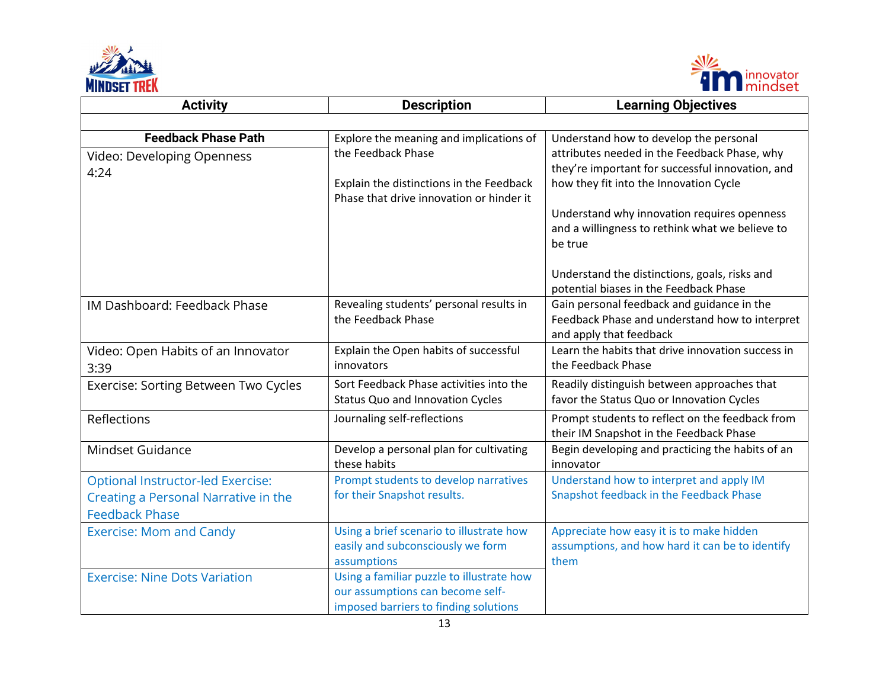



| <b>Activity</b>                                                                                           | <b>Description</b>                                                                                                                                    | <b>Learning Objectives</b>                                                                                                                                                                                                                                                                        |
|-----------------------------------------------------------------------------------------------------------|-------------------------------------------------------------------------------------------------------------------------------------------------------|---------------------------------------------------------------------------------------------------------------------------------------------------------------------------------------------------------------------------------------------------------------------------------------------------|
|                                                                                                           |                                                                                                                                                       |                                                                                                                                                                                                                                                                                                   |
| <b>Feedback Phase Path</b><br>Video: Developing Openness<br>4:24                                          | Explore the meaning and implications of<br>the Feedback Phase<br>Explain the distinctions in the Feedback<br>Phase that drive innovation or hinder it | Understand how to develop the personal<br>attributes needed in the Feedback Phase, why<br>they're important for successful innovation, and<br>how they fit into the Innovation Cycle<br>Understand why innovation requires openness<br>and a willingness to rethink what we believe to<br>be true |
|                                                                                                           |                                                                                                                                                       | Understand the distinctions, goals, risks and<br>potential biases in the Feedback Phase                                                                                                                                                                                                           |
| IM Dashboard: Feedback Phase                                                                              | Revealing students' personal results in<br>the Feedback Phase                                                                                         | Gain personal feedback and guidance in the<br>Feedback Phase and understand how to interpret<br>and apply that feedback                                                                                                                                                                           |
| Video: Open Habits of an Innovator<br>3:39                                                                | Explain the Open habits of successful<br>innovators                                                                                                   | Learn the habits that drive innovation success in<br>the Feedback Phase                                                                                                                                                                                                                           |
| Exercise: Sorting Between Two Cycles                                                                      | Sort Feedback Phase activities into the<br>Status Quo and Innovation Cycles                                                                           | Readily distinguish between approaches that<br>favor the Status Quo or Innovation Cycles                                                                                                                                                                                                          |
| Reflections                                                                                               | Journaling self-reflections                                                                                                                           | Prompt students to reflect on the feedback from<br>their IM Snapshot in the Feedback Phase                                                                                                                                                                                                        |
| Mindset Guidance                                                                                          | Develop a personal plan for cultivating<br>these habits                                                                                               | Begin developing and practicing the habits of an<br>innovator                                                                                                                                                                                                                                     |
| <b>Optional Instructor-led Exercise:</b><br>Creating a Personal Narrative in the<br><b>Feedback Phase</b> | Prompt students to develop narratives<br>for their Snapshot results.                                                                                  | Understand how to interpret and apply IM<br>Snapshot feedback in the Feedback Phase                                                                                                                                                                                                               |
| <b>Exercise: Mom and Candy</b>                                                                            | Using a brief scenario to illustrate how<br>easily and subconsciously we form<br>assumptions                                                          | Appreciate how easy it is to make hidden<br>assumptions, and how hard it can be to identify<br>them                                                                                                                                                                                               |
| <b>Exercise: Nine Dots Variation</b>                                                                      | Using a familiar puzzle to illustrate how<br>our assumptions can become self-<br>imposed barriers to finding solutions                                |                                                                                                                                                                                                                                                                                                   |